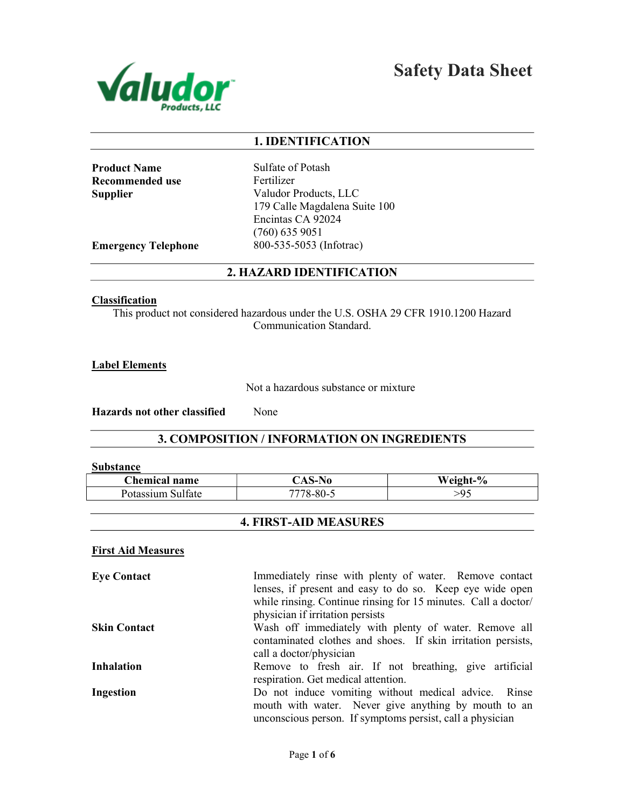

Safety Data Sheet

### 1. IDENTIFICATION

**Product Name** Sulfate of Potash Recommended use Fertilizer

Supplier Valudor Products, LLC 179 Calle Magdalena Suite 100 Encintas CA 92024 (760) 635 9051 Emergency Telephone 800-535-5053 (Infotrac)

### 2. HAZARD IDENTIFICATION

#### **Classification**

This product not considered hazardous under the U.S. OSHA 29 CFR 1910.1200 Hazard Communication Standard.

Label Elements

Not a hazardous substance or mixture

Hazards not other classified None

3. COMPOSITION / INFORMATION ON INGREDIENTS

#### Substance

| <b>hemical name</b>              | AD-1                  | $\frac{0}{0}$<br>Weight- |
|----------------------------------|-----------------------|--------------------------|
| ר1∩′<br><b>SS111m</b><br>Sultate | 7770<br>$,8 - 80 - 5$ | ۰Q                       |

## 4. FIRST-AID MEASURES

#### First Aid Measures

| Immediately rinse with plenty of water. Remove contact         |
|----------------------------------------------------------------|
| lenses, if present and easy to do so. Keep eye wide open       |
| while rinsing. Continue rinsing for 15 minutes. Call a doctor/ |
| physician if irritation persists                               |
| Wash off immediately with plenty of water. Remove all          |
| contaminated clothes and shoes. If skin irritation persists,   |
| call a doctor/physician                                        |
| Remove to fresh air. If not breathing, give artificial         |
| respiration. Get medical attention.                            |
| Do not induce vomiting without medical advice. Rinse           |
| mouth with water. Never give anything by mouth to an           |
| unconscious person. If symptoms persist, call a physician      |
|                                                                |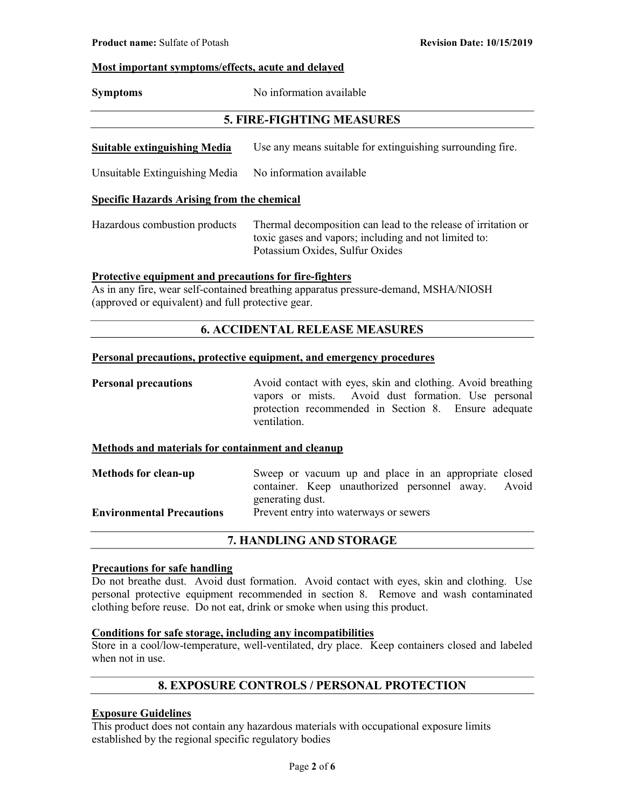#### Most important symptoms/effects, acute and delayed

Symptoms No information available

## 5. FIRE-FIGHTING MEASURES

Suitable extinguishing Media Use any means suitable for extinguishing surrounding fire.

Unsuitable Extinguishing Media No information available

#### Specific Hazards Arising from the chemical

Hazardous combustion products Thermal decomposition can lead to the release of irritation or toxic gases and vapors; including and not limited to: Potassium Oxides, Sulfur Oxides

#### Protective equipment and precautions for fire-fighters

As in any fire, wear self-contained breathing apparatus pressure-demand, MSHA/NIOSH (approved or equivalent) and full protective gear.

## 6. ACCIDENTAL RELEASE MEASURES

#### Personal precautions, protective equipment, and emergency procedures

**Personal precautions** Avoid contact with eyes, skin and clothing. Avoid breathing vapors or mists. Avoid dust formation. Use personal protection recommended in Section 8. Ensure adequate ventilation.

#### Methods and materials for containment and cleanup

Methods for clean-up Sweep or vacuum up and place in an appropriate closed container. Keep unauthorized personnel away. Avoid generating dust. Environmental Precautions Prevent entry into waterways or sewers

### 7. HANDLING AND STORAGE

#### Precautions for safe handling

Do not breathe dust. Avoid dust formation. Avoid contact with eyes, skin and clothing. Use personal protective equipment recommended in section 8. Remove and wash contaminated clothing before reuse. Do not eat, drink or smoke when using this product.

#### Conditions for safe storage, including any incompatibilities

Store in a cool/low-temperature, well-ventilated, dry place. Keep containers closed and labeled when not in use.

## 8. EXPOSURE CONTROLS / PERSONAL PROTECTION

### Exposure Guidelines

This product does not contain any hazardous materials with occupational exposure limits established by the regional specific regulatory bodies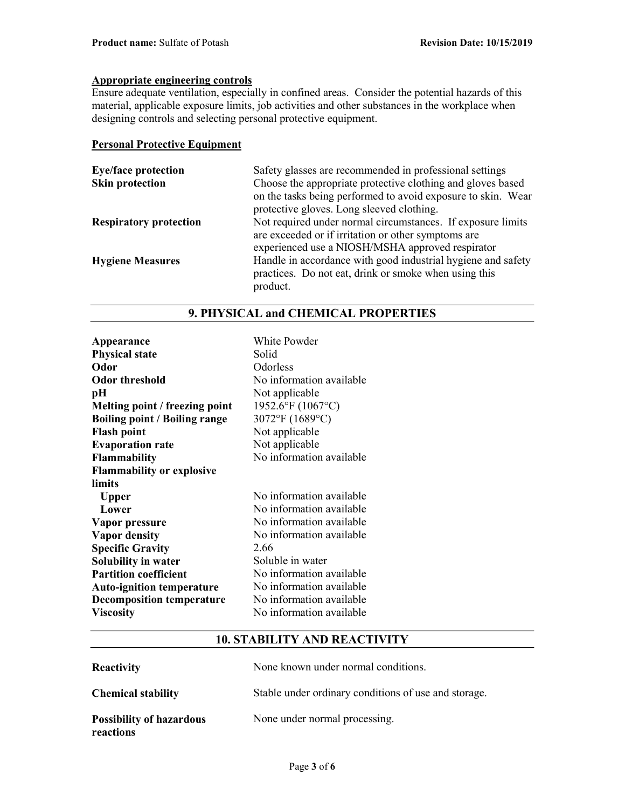# Appropriate engineering controls

Ensure adequate ventilation, especially in confined areas. Consider the potential hazards of this material, applicable exposure limits, job activities and other substances in the workplace when designing controls and selecting personal protective equipment.

#### Personal Protective Equipment

| <b>Eye/face protection</b>    | Safety glasses are recommended in professional settings      |
|-------------------------------|--------------------------------------------------------------|
| <b>Skin protection</b>        | Choose the appropriate protective clothing and gloves based  |
|                               | on the tasks being performed to avoid exposure to skin. Wear |
|                               | protective gloves. Long sleeved clothing.                    |
| <b>Respiratory protection</b> | Not required under normal circumstances. If exposure limits  |
|                               | are exceeded or if irritation or other symptoms are          |
|                               | experienced use a NIOSH/MSHA approved respirator             |
| <b>Hygiene Measures</b>       | Handle in accordance with good industrial hygiene and safety |
|                               | practices. Do not eat, drink or smoke when using this        |
|                               | product.                                                     |

| White Powder             |
|--------------------------|
| Solid                    |
| Odorless                 |
| No information available |
| Not applicable           |
| 1952.6°F (1067°C)        |
| 3072°F (1689°C)          |
| Not applicable           |
| Not applicable           |
| No information available |
|                          |
|                          |
| No information available |
| No information available |
| No information available |
| No information available |
| 2.66                     |
| Soluble in water         |
| No information available |
| No information available |
| No information available |
| No information available |
|                          |

## 9. PHYSICAL and CHEMICAL PROPERTIES

### 10. STABILITY AND REACTIVITY

| <b>Reactivity</b>                            | None known under normal conditions.                  |
|----------------------------------------------|------------------------------------------------------|
| <b>Chemical stability</b>                    | Stable under ordinary conditions of use and storage. |
| <b>Possibility of hazardous</b><br>reactions | None under normal processing.                        |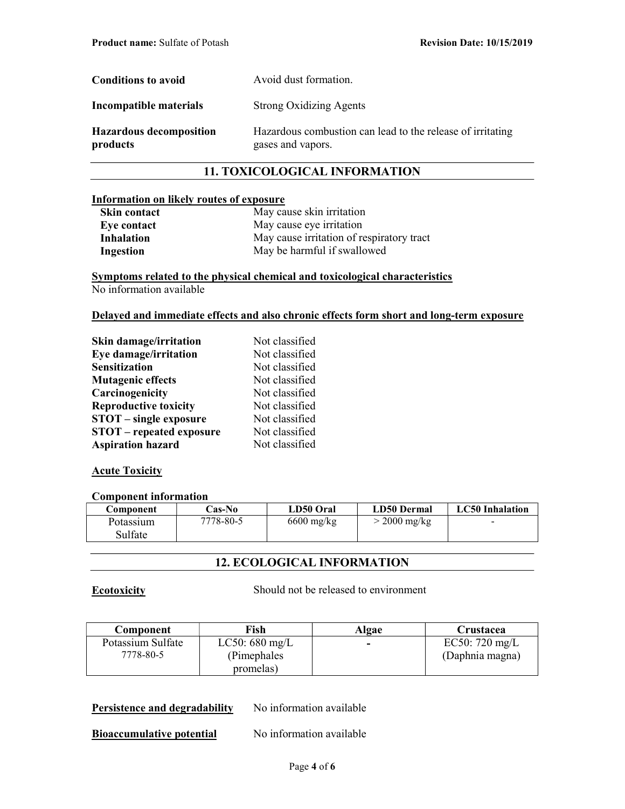| Conditions to avoid                        | Avoid dust formation.                                                           |
|--------------------------------------------|---------------------------------------------------------------------------------|
| Incompatible materials                     | <b>Strong Oxidizing Agents</b>                                                  |
| <b>Hazardous decomposition</b><br>products | Hazardous combustion can lead to the release of irritating<br>gases and vapors. |

## 11. TOXICOLOGICAL INFORMATION

#### Information on likely routes of exposure

| <b>Skin contact</b> | May cause skin irritation                 |
|---------------------|-------------------------------------------|
| Eye contact         | May cause eye irritation                  |
| <b>Inhalation</b>   | May cause irritation of respiratory tract |
| Ingestion           | May be harmful if swallowed               |

Symptoms related to the physical chemical and toxicological characteristics No information available

#### Delayed and immediate effects and also chronic effects form short and long-term exposure

| Skin damage/irritation          | Not classified |
|---------------------------------|----------------|
| Eye damage/irritation           | Not classified |
| <b>Sensitization</b>            | Not classified |
| <b>Mutagenic effects</b>        | Not classified |
| Carcinogenicity                 | Not classified |
| <b>Reproductive toxicity</b>    | Not classified |
| <b>STOT</b> – single exposure   | Not classified |
| <b>STOT</b> – repeated exposure | Not classified |
| <b>Aspiration hazard</b>        | Not classified |

### **Acute Toxicity**

#### Component information

| Component | <b>Cas-No</b> | LD50 Oral    | <b>LD50 Dermal</b> | <b>LC50</b> Inhalation |
|-----------|---------------|--------------|--------------------|------------------------|
| Potassium | 7778-80-5     | $6600$ mg/kg | $>$ 2000 mg/kg     | $\sim$                 |
| Sulfate   |               |              |                    |                        |

## 12. ECOLOGICAL INFORMATION

Ecotoxicity Should not be released to environment

| <b>Component</b>  | Fish                     | Algae          | Crustacea                |
|-------------------|--------------------------|----------------|--------------------------|
| Potassium Sulfate | LC50: $680 \text{ mg/L}$ | $\blacksquare$ | EC50: $720 \text{ mg/L}$ |
| 7778-80-5         | (Pimephales)             |                | (Daphnia magna)          |
|                   | promelas)                |                |                          |

#### Persistence and degradability No information available

**Bioaccumulative potential** No information available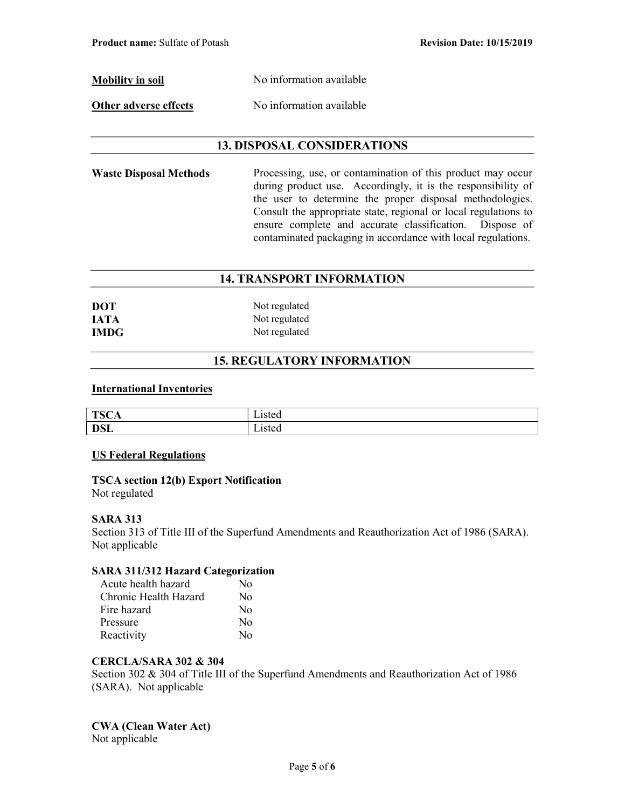Mobility in soil No information available

Other adverse effects No information available

## 13. DISPOSAL CONSIDERATIONS

Waste Disposal Methods Processing, use, or contamination of this product may occur during product use. Accordingly, it is the responsibility of the user to determine the proper disposal methodologies. Consult the appropriate state, regional or local regulations to ensure complete and accurate classification. Dispose of contaminated packaging in accordance with local regulations.

## 14. TRANSPORT INFORMATION

| <b>DOT</b>  | Not regulated |
|-------------|---------------|
| <b>IATA</b> | Not regulated |
| <b>IMDG</b> | Not regulated |

## 15. REGULATORY INFORMATION

#### International Inventories

| <b>TSC</b><br>Λ<br>◡▴ |         |
|-----------------------|---------|
| <b>DSL</b>            | -1900 4 |

### US Federal Regulations

## TSCA section 12(b) Export Notification

Not regulated

### SARA 313

Section 313 of Title III of the Superfund Amendments and Reauthorization Act of 1986 (SARA). Not applicable

### SARA 311/312 Hazard Categorization

| Acute health hazard   | No       |
|-----------------------|----------|
| Chronic Health Hazard | No       |
| Fire hazard           | $\rm No$ |
| Pressure              | $\rm No$ |
| Reactivity            | Nο       |

### CERCLA/SARA 302 & 304

Section 302 & 304 of Title III of the Superfund Amendments and Reauthorization Act of 1986 (SARA). Not applicable

# CWA (Clean Water Act)

Not applicable